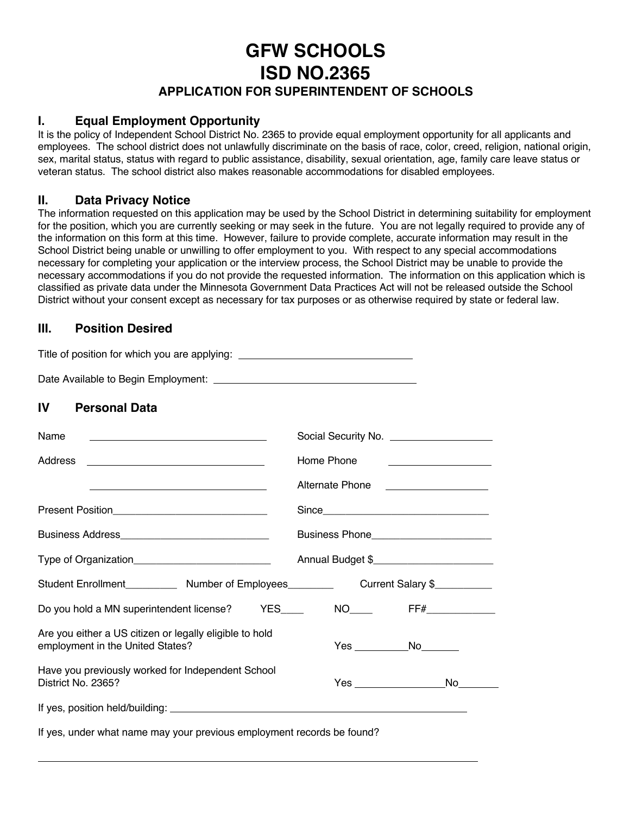# **GFW SCHOOLS**

**ISD NO.2365**

# **APPLICATION FOR SUPERINTENDENT OF SCHOOLS**

## **I. Equal Employment Opportunity**

It is the policy of Independent School District No. 2365 to provide equal employment opportunity for all applicants and employees. The school district does not unlawfully discriminate on the basis of race, color, creed, religion, national origin, sex, marital status, status with regard to public assistance, disability, sexual orientation, age, family care leave status or veteran status. The school district also makes reasonable accommodations for disabled employees.

### **II. Data Privacy Notice**

The information requested on this application may be used by the School District in determining suitability for employment for the position, which you are currently seeking or may seek in the future. You are not legally required to provide any of the information on this form at this time. However, failure to provide complete, accurate information may result in the School District being unable or unwilling to offer employment to you. With respect to any special accommodations necessary for completing your application or the interview process, the School District may be unable to provide the necessary accommodations if you do not provide the requested information. The information on this application which is classified as private data under the Minnesota Government Data Practices Act will not be released outside the School District without your consent except as necessary for tax purposes or as otherwise required by state or federal law.

# **III. Position Desired**

 $\overline{a}$ 

| Title of position for which you are applying: __________________________________            |            |                                                                                                                      |  |
|---------------------------------------------------------------------------------------------|------------|----------------------------------------------------------------------------------------------------------------------|--|
|                                                                                             |            |                                                                                                                      |  |
| IV<br><b>Personal Data</b>                                                                  |            |                                                                                                                      |  |
| Name                                                                                        |            |                                                                                                                      |  |
| Address<br><u> 1980 - Jan James James Barnett, fransk politik (d. 1980)</u>                 | Home Phone | <u> 1986 - Johann Stein, fransk kampens og det forskellige og det forskellige og det forskellige og det forskell</u> |  |
|                                                                                             |            | Alternate Phone <b>Figure 2016</b>                                                                                   |  |
|                                                                                             |            |                                                                                                                      |  |
|                                                                                             |            |                                                                                                                      |  |
|                                                                                             |            |                                                                                                                      |  |
|                                                                                             |            |                                                                                                                      |  |
| Do you hold a MN superintendent license? YES____                                            |            | NO_____    FF#______________                                                                                         |  |
| Are you either a US citizen or legally eligible to hold<br>employment in the United States? |            | Yes _______________No_________                                                                                       |  |
| Have you previously worked for Independent School<br>District No. 2365?                     |            | Yes _______________________No_______                                                                                 |  |
|                                                                                             |            |                                                                                                                      |  |
| If yes, under what name may your previous employment records be found?                      |            |                                                                                                                      |  |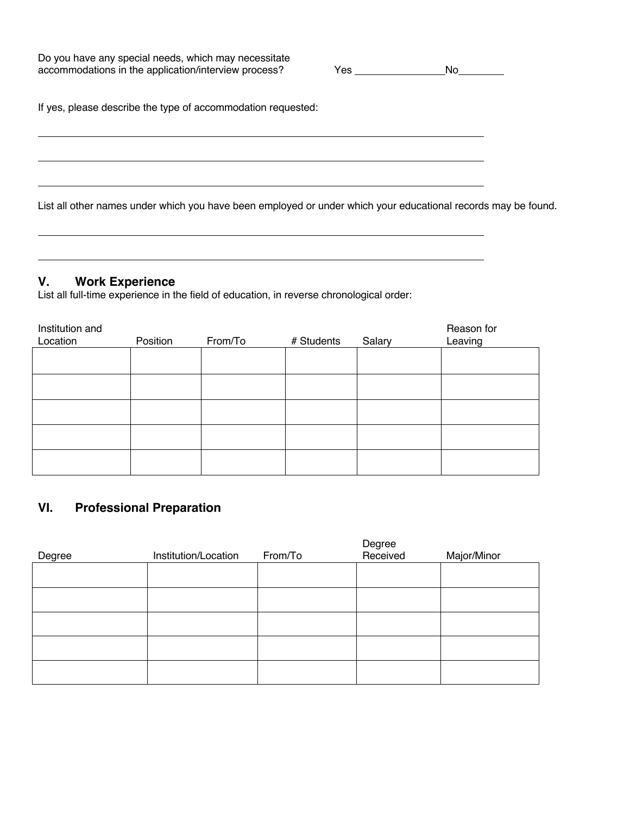Do you have any special needs, which may necessitate accommodations in the application/interview process? Yes No

If yes, please describe the type of accommodation requested:

List all other names under which you have been employed or under which your educational records may be found.

#### **V. Work Experience**

 $\overline{a}$ 

 $\overline{a}$ 

 $\overline{a}$ 

 $\overline{a}$ 

 $\overline{a}$ 

List all full-time experience in the field of education, in reverse chronological order:

| Institution and<br>Location | Position | From/To | # Students | Salary | Reason for<br>Leaving |
|-----------------------------|----------|---------|------------|--------|-----------------------|
|                             |          |         |            |        |                       |
|                             |          |         |            |        |                       |
|                             |          |         |            |        |                       |
|                             |          |         |            |        |                       |
|                             |          |         |            |        |                       |

# **VI. Professional Preparation**

| Degree | Institution/Location | From/To | Degree<br>Received | Major/Minor |
|--------|----------------------|---------|--------------------|-------------|
|        |                      |         |                    |             |
|        |                      |         |                    |             |
|        |                      |         |                    |             |
|        |                      |         |                    |             |
|        |                      |         |                    |             |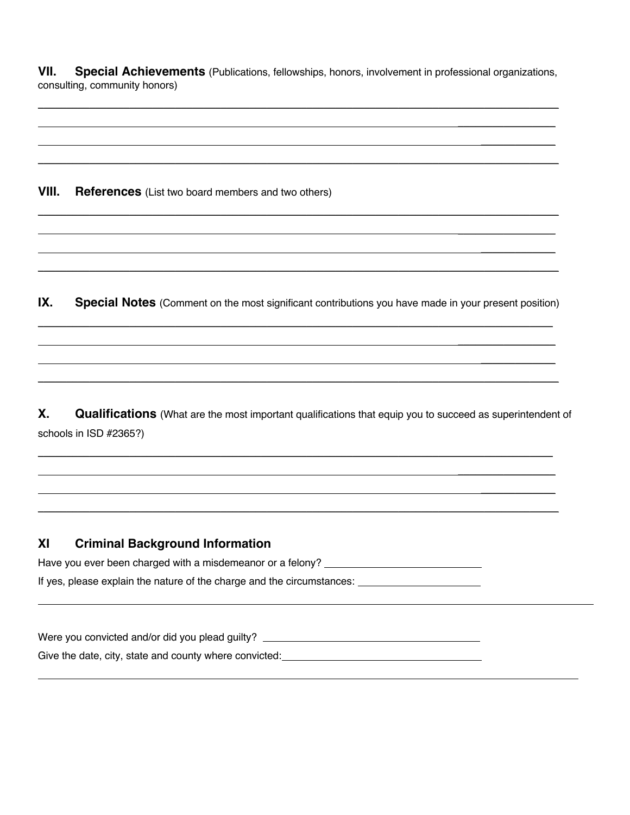**VII. Special Achievements** (Publications, fellowships, honors, involvement in professional organizations, consulting, community honors)

\_\_\_\_\_\_\_\_\_\_\_\_\_\_\_\_\_\_\_\_\_\_\_\_\_\_\_\_\_\_\_\_\_\_\_\_\_\_\_\_\_\_\_\_\_\_\_\_\_\_\_\_\_\_\_\_\_\_\_\_\_\_\_\_\_\_\_\_\_\_\_\_\_\_\_\_\_\_\_\_\_\_\_\_\_\_\_\_\_\_\_  $\mathcal{L}_\text{max}$  , and the set of the set of the set of the set of the set of the set of the set of the set of the set of the set of the set of the set of the set of the set of the set of the set of the set of the set of the  $\mathcal{L}_\text{max}$  , and the set of the set of the set of the set of the set of the set of the set of the set of the set of the set of the set of the set of the set of the set of the set of the set of the set of the set of the \_\_\_\_\_\_\_\_\_\_\_\_\_\_\_\_\_\_\_\_\_\_\_\_\_\_\_\_\_\_\_\_\_\_\_\_\_\_\_\_\_\_\_\_\_\_\_\_\_\_\_\_\_\_\_\_\_\_\_\_\_\_\_\_\_\_\_\_\_\_\_\_\_\_\_\_\_\_\_\_\_\_\_\_\_\_\_\_\_\_\_

**VIII. References** (List two board members and two others)

**IX. Special Notes** (Comment on the most significant contributions you have made in your present position)

 $\mathcal{L}_\mathcal{L} = \mathcal{L}_\mathcal{L} = \mathcal{L}_\mathcal{L} = \mathcal{L}_\mathcal{L} = \mathcal{L}_\mathcal{L} = \mathcal{L}_\mathcal{L} = \mathcal{L}_\mathcal{L} = \mathcal{L}_\mathcal{L} = \mathcal{L}_\mathcal{L} = \mathcal{L}_\mathcal{L} = \mathcal{L}_\mathcal{L} = \mathcal{L}_\mathcal{L} = \mathcal{L}_\mathcal{L} = \mathcal{L}_\mathcal{L} = \mathcal{L}_\mathcal{L} = \mathcal{L}_\mathcal{L} = \mathcal{L}_\mathcal{L}$  $\mathcal{L}_\text{max}$  and  $\mathcal{L}_\text{max}$  and  $\mathcal{L}_\text{max}$  and  $\mathcal{L}_\text{max}$  and  $\mathcal{L}_\text{max}$  and  $\mathcal{L}_\text{max}$  $\mathcal{L}_\text{max}$  and  $\mathcal{L}_\text{max}$  and  $\mathcal{L}_\text{max}$  and  $\mathcal{L}_\text{max}$  and  $\mathcal{L}_\text{max}$  and  $\mathcal{L}_\text{max}$  $\mathcal{L}_\mathcal{L} = \mathcal{L}_\mathcal{L} = \mathcal{L}_\mathcal{L} = \mathcal{L}_\mathcal{L} = \mathcal{L}_\mathcal{L} = \mathcal{L}_\mathcal{L} = \mathcal{L}_\mathcal{L} = \mathcal{L}_\mathcal{L} = \mathcal{L}_\mathcal{L} = \mathcal{L}_\mathcal{L} = \mathcal{L}_\mathcal{L} = \mathcal{L}_\mathcal{L} = \mathcal{L}_\mathcal{L} = \mathcal{L}_\mathcal{L} = \mathcal{L}_\mathcal{L} = \mathcal{L}_\mathcal{L} = \mathcal{L}_\mathcal{L}$ 

 $\mathcal{L}_\mathcal{L} = \mathcal{L}_\mathcal{L} = \mathcal{L}_\mathcal{L} = \mathcal{L}_\mathcal{L} = \mathcal{L}_\mathcal{L} = \mathcal{L}_\mathcal{L} = \mathcal{L}_\mathcal{L} = \mathcal{L}_\mathcal{L} = \mathcal{L}_\mathcal{L} = \mathcal{L}_\mathcal{L} = \mathcal{L}_\mathcal{L} = \mathcal{L}_\mathcal{L} = \mathcal{L}_\mathcal{L} = \mathcal{L}_\mathcal{L} = \mathcal{L}_\mathcal{L} = \mathcal{L}_\mathcal{L} = \mathcal{L}_\mathcal{L}$ 

 $\mathcal{L}_\mathcal{L} = \mathcal{L}_\mathcal{L} = \mathcal{L}_\mathcal{L} = \mathcal{L}_\mathcal{L} = \mathcal{L}_\mathcal{L} = \mathcal{L}_\mathcal{L} = \mathcal{L}_\mathcal{L} = \mathcal{L}_\mathcal{L} = \mathcal{L}_\mathcal{L} = \mathcal{L}_\mathcal{L} = \mathcal{L}_\mathcal{L} = \mathcal{L}_\mathcal{L} = \mathcal{L}_\mathcal{L} = \mathcal{L}_\mathcal{L} = \mathcal{L}_\mathcal{L} = \mathcal{L}_\mathcal{L} = \mathcal{L}_\mathcal{L}$  $\mathcal{L}_\text{max}$  and  $\mathcal{L}_\text{max}$  and  $\mathcal{L}_\text{max}$  and  $\mathcal{L}_\text{max}$  and  $\mathcal{L}_\text{max}$  and  $\mathcal{L}_\text{max}$ 

 $\overline{\phantom{a}}$  , where  $\overline{\phantom{a}}$  , where  $\overline{\phantom{a}}$  , where  $\overline{\phantom{a}}$ 

**X. Qualifications** (What are the most important qualifications that equip you to succeed as superintendent of schools in ISD #2365?)

 $\mathcal{L}_\mathcal{L} = \mathcal{L}_\mathcal{L} = \mathcal{L}_\mathcal{L} = \mathcal{L}_\mathcal{L} = \mathcal{L}_\mathcal{L} = \mathcal{L}_\mathcal{L} = \mathcal{L}_\mathcal{L} = \mathcal{L}_\mathcal{L} = \mathcal{L}_\mathcal{L} = \mathcal{L}_\mathcal{L} = \mathcal{L}_\mathcal{L} = \mathcal{L}_\mathcal{L} = \mathcal{L}_\mathcal{L} = \mathcal{L}_\mathcal{L} = \mathcal{L}_\mathcal{L} = \mathcal{L}_\mathcal{L} = \mathcal{L}_\mathcal{L}$  $\mathcal{L}_\text{max}$  and  $\mathcal{L}_\text{max}$  and  $\mathcal{L}_\text{max}$  and  $\mathcal{L}_\text{max}$  and  $\mathcal{L}_\text{max}$  and  $\mathcal{L}_\text{max}$  $\mathcal{L}_\text{max}$  and  $\mathcal{L}_\text{max}$  and  $\mathcal{L}_\text{max}$  and  $\mathcal{L}_\text{max}$  and  $\mathcal{L}_\text{max}$  and  $\mathcal{L}_\text{max}$  $\mathcal{L}_\mathcal{L} = \mathcal{L}_\mathcal{L} = \mathcal{L}_\mathcal{L} = \mathcal{L}_\mathcal{L} = \mathcal{L}_\mathcal{L} = \mathcal{L}_\mathcal{L} = \mathcal{L}_\mathcal{L} = \mathcal{L}_\mathcal{L} = \mathcal{L}_\mathcal{L} = \mathcal{L}_\mathcal{L} = \mathcal{L}_\mathcal{L} = \mathcal{L}_\mathcal{L} = \mathcal{L}_\mathcal{L} = \mathcal{L}_\mathcal{L} = \mathcal{L}_\mathcal{L} = \mathcal{L}_\mathcal{L} = \mathcal{L}_\mathcal{L}$ 

# **XI Criminal Background Information**

 $\overline{a}$ 

 $\overline{a}$ 

Have you ever been charged with a misdemeanor or a felony? \_\_\_\_\_\_\_\_\_\_\_\_\_\_\_\_\_\_\_\_\_

If yes, please explain the nature of the charge and the circumstances:

Were you convicted and/or did you plead guilty? \_\_\_\_\_\_\_\_\_\_\_\_\_\_\_\_\_\_\_\_\_\_\_\_\_\_\_\_\_\_\_\_ Give the date, city, state and county where convicted: \_\_\_\_\_\_\_\_\_\_\_\_\_\_\_\_\_\_\_\_\_\_\_\_\_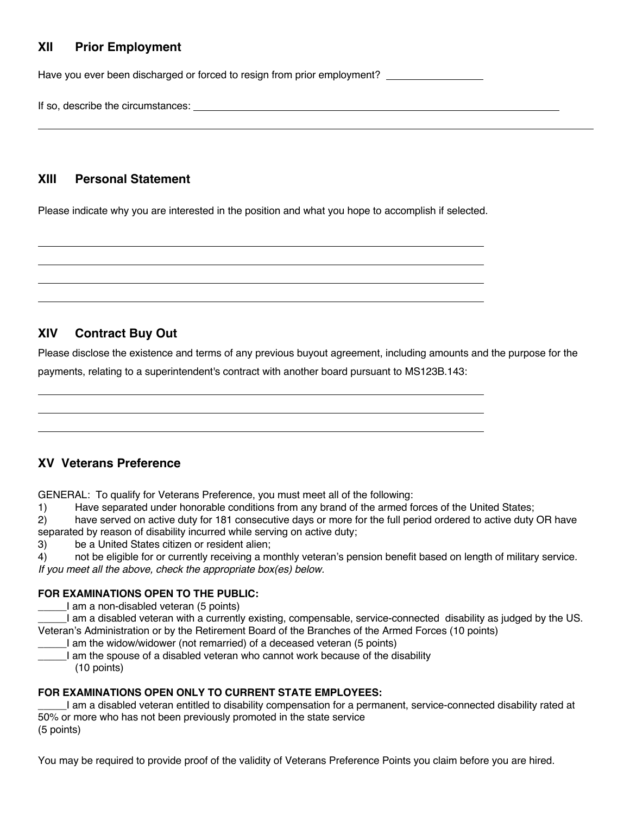# **XII Prior Employment**

Have you ever been discharged or forced to resign from prior employment?

If so, describe the circumstances:

 $\overline{a}$ 

 $\overline{a}$  $\overline{a}$  $\overline{a}$  $\overline{a}$ 

 $\overline{a}$  $\overline{a}$  $\overline{a}$ 

#### **XIII Personal Statement**

Please indicate why you are interested in the position and what you hope to accomplish if selected.

# **XIV Contract Buy Out**

Please disclose the existence and terms of any previous buyout agreement, including amounts and the purpose for the

payments, relating to a superintendent's contract with another board pursuant to MS123B.143:

# **XV Veterans Preference**

GENERAL: To qualify for Veterans Preference, you must meet all of the following:

1) Have separated under honorable conditions from any brand of the armed forces of the United States;

2) have served on active duty for 181 consecutive days or more for the full period ordered to active duty OR have separated by reason of disability incurred while serving on active duty;

3) be a United States citizen or resident alien;

4) not be eligible for or currently receiving a monthly veteran's pension benefit based on length of military service. *If you meet all the above, check the appropriate box(es) below.*

#### **FOR EXAMINATIONS OPEN TO THE PUBLIC:**

I am a non-disabled veteran (5 points)

\_\_\_\_\_I am a disabled veteran with a currently existing, compensable, service-connected disability as judged by the US. Veteran's Administration or by the Retirement Board of the Branches of the Armed Forces (10 points)

- I am the widow/widower (not remarried) of a deceased veteran (5 points)
- \_\_\_\_\_I am the spouse of a disabled veteran who cannot work because of the disability (10 points)

#### **FOR EXAMINATIONS OPEN ONLY TO CURRENT STATE EMPLOYEES:**

\_\_\_\_\_I am a disabled veteran entitled to disability compensation for a permanent, service-connected disability rated at 50% or more who has not been previously promoted in the state service (5 points)

You may be required to provide proof of the validity of Veterans Preference Points you claim before you are hired.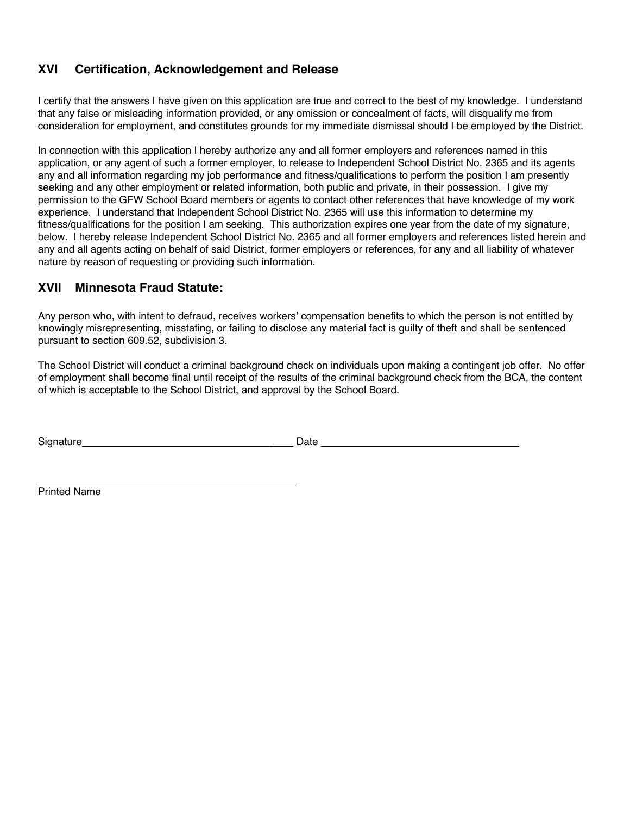# **XVI Certification, Acknowledgement and Release**

I certify that the answers I have given on this application are true and correct to the best of my knowledge. I understand that any false or misleading information provided, or any omission or concealment of facts, will disqualify me from consideration for employment, and constitutes grounds for my immediate dismissal should I be employed by the District.

In connection with this application I hereby authorize any and all former employers and references named in this application, or any agent of such a former employer, to release to Independent School District No. 2365 and its agents any and all information regarding my job performance and fitness/qualifications to perform the position I am presently seeking and any other employment or related information, both public and private, in their possession. I give my permission to the GFW School Board members or agents to contact other references that have knowledge of my work experience. I understand that Independent School District No. 2365 will use this information to determine my fitness/qualifications for the position I am seeking. This authorization expires one year from the date of my signature, below. I hereby release Independent School District No. 2365 and all former employers and references listed herein and any and all agents acting on behalf of said District, former employers or references, for any and all liability of whatever nature by reason of requesting or providing such information.

# **XVII Minnesota Fraud Statute:**

Any person who, with intent to defraud, receives workers' compensation benefits to which the person is not entitled by knowingly misrepresenting, misstating, or failing to disclose any material fact is guilty of theft and shall be sentenced pursuant to section 609.52, subdivision 3.

The School District will conduct a criminal background check on individuals upon making a contingent job offer. No offer of employment shall become final until receipt of the results of the criminal background check from the BCA, the content of which is acceptable to the School District, and approval by the School Board.

Signature **Date Date Date Date Date** 

Printed Name